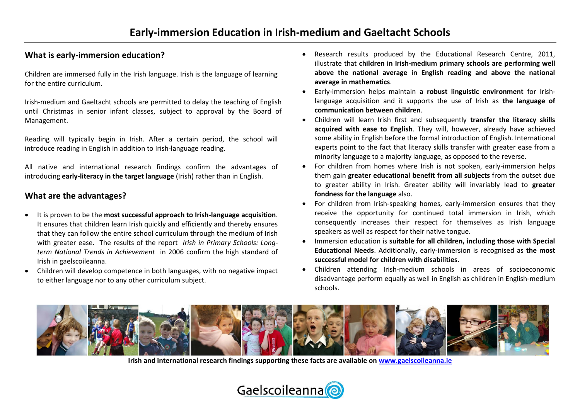## **What is early-immersion education?**

Children are immersed fully in the Irish language. Irish is the language of learning for the entire curriculum.

Irish-medium and Gaeltacht schools are permitted to delay the teaching of English until Christmas in senior infant classes, subject to approval by the Board of Management.

Reading will typically begin in Irish. After a certain period, the school will introduce reading in English in addition to Irish-language reading.

All native and international research findings confirm the advantages of introducing **early-literacy in the target language** (Irish) rather than in English.

## **What are the advantages?**

- It is proven to be the **most successful approach to Irish-language acquisition**. It ensures that children learn Irish quickly and efficiently and thereby ensures that they can follow the entire school curriculum through the medium of Irish with greater ease. The results of the report *Irish in Primary Schools: Longterm National Trends in Achievement* in 2006 confirm the high standard of Irish in gaelscoileanna.
- Children will develop competence in both languages, with no negative impact to either language nor to any other curriculum subject.
- Research results produced by the Educational Research Centre, 2011, illustrate that **children in Irish-medium primary schools are performing well above the national average in English reading and above the national average in mathematics**.
- Early-immersion helps maintain **a robust linguistic environment** for Irishlanguage acquisition and it supports the use of Irish as **the language of communication between children**.
- Children will learn Irish first and subsequently **transfer the literacy skills acquired with ease to English**. They will, however, already have achieved some ability in English before the formal introduction of English. International experts point to the fact that literacy skills transfer with greater ease from a minority language to a majority language, as opposed to the reverse.
- For children from homes where Irish is not spoken, early-immersion helps them gain **greater educational benefit from all subjects** from the outset due to greater ability in Irish. Greater ability will invariably lead to **greater fondness for the language** also.
- For children from Irish-speaking homes, early-immersion ensures that they receive the opportunity for continued total immersion in Irish, which consequently increases their respect for themselves as Irish language speakers as well as respect for their native tongue.
- Immersion education is **suitable for all children, including those with Special Educational Needs**. Additionally, early-immersion is recognised as **the most successful model for children with disabilities**.
- Children attending Irish-medium schools in areas of socioeconomic disadvantage perform equally as well in English as children in English-medium schools.



**Irish and international research findings supporting these facts are available o[n www.gaelscoileanna.ie](http://www.gaelscoileanna.ie/)**